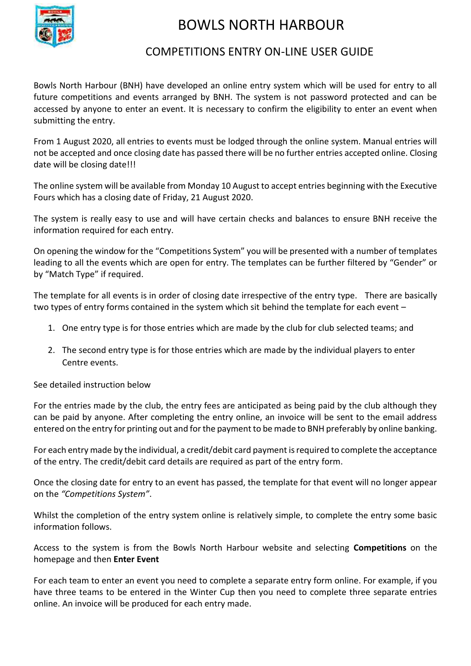

### COMPETITIONS ENTRY ON-LINE USER GUIDE

Bowls North Harbour (BNH) have developed an online entry system which will be used for entry to all future competitions and events arranged by BNH. The system is not password protected and can be accessed by anyone to enter an event. It is necessary to confirm the eligibility to enter an event when submitting the entry.

From 1 August 2020, all entries to events must be lodged through the online system. Manual entries will not be accepted and once closing date has passed there will be no further entries accepted online. Closing date will be closing date!!!

The online system will be available from Monday 10 August to accept entries beginning with the Executive Fours which has a closing date of Friday, 21 August 2020.

The system is really easy to use and will have certain checks and balances to ensure BNH receive the information required for each entry.

On opening the window for the "Competitions System" you will be presented with a number of templates leading to all the events which are open for entry. The templates can be further filtered by "Gender" or by "Match Type" if required.

The template for all events is in order of closing date irrespective of the entry type. There are basically two types of entry forms contained in the system which sit behind the template for each event –

- 1. One entry type is for those entries which are made by the club for club selected teams; and
- 2. The second entry type is for those entries which are made by the individual players to enter Centre events.

See detailed instruction below

For the entries made by the club, the entry fees are anticipated as being paid by the club although they can be paid by anyone. After completing the entry online, an invoice will be sent to the email address entered on the entry for printing out and for the payment to be made to BNH preferably by online banking.

For each entry made by the individual, a credit/debit card payment is required to complete the acceptance of the entry. The credit/debit card details are required as part of the entry form.

Once the closing date for entry to an event has passed, the template for that event will no longer appear on the *"Competitions System"*.

Whilst the completion of the entry system online is relatively simple, to complete the entry some basic information follows.

Access to the system is from the Bowls North Harbour website and selecting **Competitions** on the homepage and then **Enter Event** 

For each team to enter an event you need to complete a separate entry form online. For example, if you have three teams to be entered in the Winter Cup then you need to complete three separate entries online. An invoice will be produced for each entry made.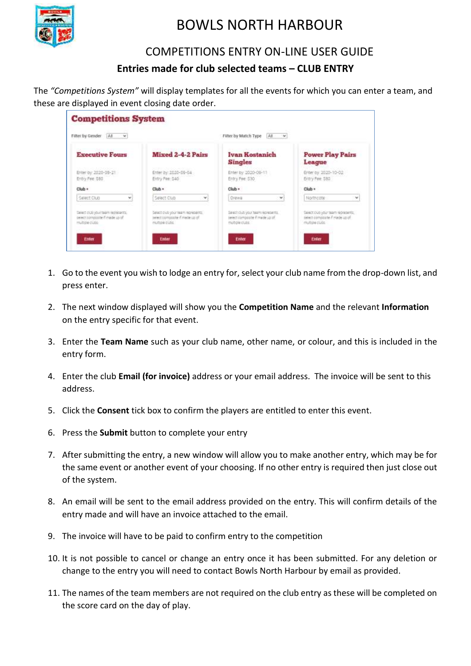

### COMPETITIONS ENTRY ON-LINE USER GUIDE

#### **Entries made for club selected teams – CLUB ENTRY**

The *"Competitions System"* will display templates for all the events for which you can enter a team, and these are displayed in event closing date order.

| Filter by Gender<br>TAT<br>$-16$                                                      |                                                                                        | Filter by Match Type<br>ALC: N                                                          |                                                                                       |
|---------------------------------------------------------------------------------------|----------------------------------------------------------------------------------------|-----------------------------------------------------------------------------------------|---------------------------------------------------------------------------------------|
| <b>Executive Fours</b>                                                                | Mixed 2-4-2 Pairs                                                                      | Ivan Kostanich<br><b>Singles</b>                                                        | <b>Power Play Pairs</b><br>League                                                     |
| Enter by: 2020-08-21<br>Entry Fee 380                                                 | Enter by: 2020-09-04<br>Entry Fee: 540                                                 | Enter by 2020-00-11<br>Entry Fee: 530                                                   | Enter by: 2020-10-02<br>Entry Fee: \$80                                               |
| $Club +$                                                                              | Club +                                                                                 | Club +                                                                                  | Club +                                                                                |
| Select Club                                                                           | Select Club                                                                            | Orene<br>v                                                                              | Northcote<br>u                                                                        |
| Select cluts your team represents.<br>sweet composte if made up of<br>multiple clubb. | Select diub your team represents.<br>telest composite if made up of<br>multiple clubs: | Select club your team replesents.<br>telect composite if matle up of<br>multiple clubs. | Select club your team represents.<br>select composite if made up of<br>multipe-clubb. |

- 1. Go to the event you wish to lodge an entry for, select your club name from the drop-down list, and press enter.
- 2. The next window displayed will show you the **Competition Name** and the relevant **Information** on the entry specific for that event.
- 3. Enter the **Team Name** such as your club name, other name, or colour, and this is included in the entry form.
- 4. Enter the club **Email (for invoice)** address or your email address. The invoice will be sent to this address.
- 5. Click the **Consent** tick box to confirm the players are entitled to enter this event.
- 6. Press the **Submit** button to complete your entry
- 7. After submitting the entry, a new window will allow you to make another entry, which may be for the same event or another event of your choosing. If no other entry is required then just close out of the system.
- 8. An email will be sent to the email address provided on the entry. This will confirm details of the entry made and will have an invoice attached to the email.
- 9. The invoice will have to be paid to confirm entry to the competition
- 10. It is not possible to cancel or change an entry once it has been submitted. For any deletion or change to the entry you will need to contact Bowls North Harbour by email as provided.
- 11. The names of the team members are not required on the club entry as these will be completed on the score card on the day of play.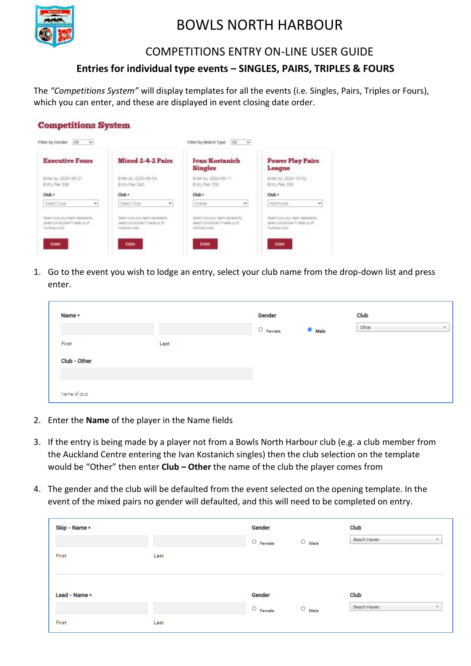

#### COMPETITIONS ENTRY ON-LINE USER GUIDE

#### **Entries for individual type events – SINGLES, PAIRS, TRIPLES & FOURS**

The *"Competitions System"* will display templates for all the events (i.e. Singles, Pairs, Triples or Fours), which you can enter, and these are displayed in event closing date order.

| <b>Competitions System</b>   |                   |                       |        |  |
|------------------------------|-------------------|-----------------------|--------|--|
| Fifter by Gender<br>$At - v$ |                   | Filter by Match Type  | ALC: Y |  |
| <b>Executive Fours</b>       | Mixed 2-4-2 Pairs | <b>Ivan Kostanich</b> |        |  |

| <b>Executive Fours</b>                                                               | Mixed 2-4-2 Pairs                                                                    | Ivan Kostanich<br><b>Singles</b>                                                        | <b>Power Play Pairs</b><br>League                                                     |
|--------------------------------------------------------------------------------------|--------------------------------------------------------------------------------------|-----------------------------------------------------------------------------------------|---------------------------------------------------------------------------------------|
| Enter by: 2020-08-21<br>Entry Fee 380                                                | Enter by: 2020-09-04<br>Entry Fee: 540                                               | Enter by 2020-00-11<br>Entry Fee: 630                                                   | Enter by: 3020-10-02<br>Entry Fee \$80                                                |
| Club +                                                                               | Club +                                                                               | Club +                                                                                  | Club +                                                                                |
| Select Club<br>۷                                                                     | Select Club<br>۷                                                                     | Orene<br>v                                                                              | Northcote<br>w                                                                        |
| Select clutrydux team represents.<br>sweet composte if made up of<br>multiple clubb. | Exisct dub your team represents.<br>helest companie if made up of<br>multiple clubs: | Select club your team repletents.<br>telect composite if matle up of<br>1933 bld (1991) | Select club your team represents.<br>(elect-composite if made up of<br>multipe clubb. |
| <b>Enter</b>                                                                         | Enter                                                                                | <b>Enter</b>                                                                            | Enter                                                                                 |

1. Go to the event you wish to lodge an entry, select your club name from the drop-down list and press enter.

| Name *       |      | Gender     |                   | Club  |              |
|--------------|------|------------|-------------------|-------|--------------|
|              |      | ∴ ○ Female | <sup>®</sup> Male | Other | $\mathbf{v}$ |
| First        | Last |            |                   |       |              |
| Club - Other |      |            |                   |       |              |
|              |      |            |                   |       |              |
| Name of club |      |            |                   |       |              |

- 2. Enter the **Name** of the player in the Name fields
- 3. If the entry is being made by a player not from a Bowls North Harbour club (e.g. a club member from the Auckland Centre entering the Ivan Kostanich singles) then the club selection on the template would be "Other" then enter **Club – Other** the name of the club the player comes from
- 4. The gender and the club will be defaulted from the event selected on the opening template. In the event of the mixed pairs no gender will defaulted, and this will need to be completed on entry.

| Club                                    |
|-----------------------------------------|
| Beach Haven<br>v.                       |
|                                         |
|                                         |
|                                         |
| Club                                    |
| Beach Haven<br>$\overline{\phantom{a}}$ |
|                                         |
|                                         |